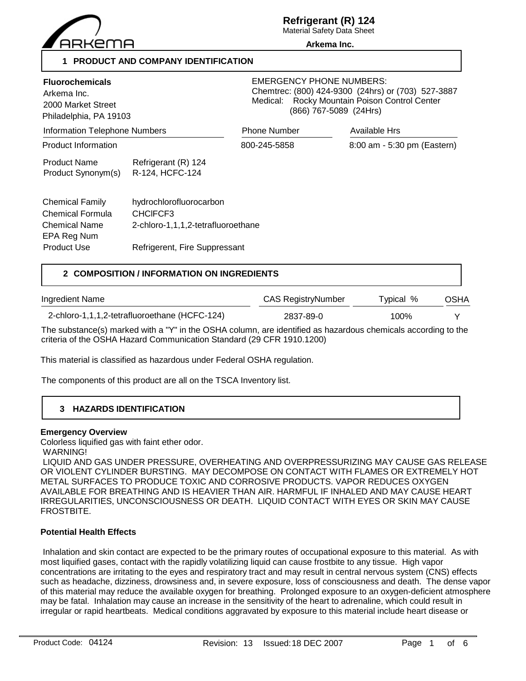

# **Refrigerant (R) 124**

Material Safety Data Sheet **Arkema Inc.**

## **1 PRODUCT AND COMPANY IDENTIFICATION**

| <b>Fluorochemicals</b><br>Arkema Inc.<br>2000 Market Street<br>Philadelphia, PA 19103<br><b>Information Telephone Numbers</b> |                                                                           | <b>EMERGENCY PHONE NUMBERS:</b><br>Chemtrec: (800) 424-9300 (24hrs) or (703) 527-3887<br>Rocky Mountain Poison Control Center<br>Medical:<br>(866) 767-5089 (24Hrs) |                             |  |
|-------------------------------------------------------------------------------------------------------------------------------|---------------------------------------------------------------------------|---------------------------------------------------------------------------------------------------------------------------------------------------------------------|-----------------------------|--|
|                                                                                                                               |                                                                           | <b>Phone Number</b>                                                                                                                                                 | <b>Available Hrs</b>        |  |
| <b>Product Information</b>                                                                                                    |                                                                           | 800-245-5858                                                                                                                                                        | 8:00 am - 5:30 pm (Eastern) |  |
| <b>Product Name</b><br>Product Synonym(s)                                                                                     | Refrigerant (R) 124<br>R-124, HCFC-124                                    |                                                                                                                                                                     |                             |  |
| <b>Chemical Family</b><br>Chemical Formula<br><b>Chemical Name</b><br>EPA Reg Num                                             | hydrochlorofluorocarbon<br>CHCIFCF3<br>2-chloro-1,1,1,2-tetrafluoroethane |                                                                                                                                                                     |                             |  |
| <b>Product Use</b>                                                                                                            | Refrigerent, Fire Suppressant                                             |                                                                                                                                                                     |                             |  |

## **2 COMPOSITION / INFORMATION ON INGREDIENTS**

| Ingredient Name                               | <b>CAS RegistryNumber</b> | Typical % | OSHA |
|-----------------------------------------------|---------------------------|-----------|------|
| 2-chloro-1,1,1,2-tetrafluoroethane (HCFC-124) | 2837-89-0                 | 100%      |      |

The substance(s) marked with a "Y" in the OSHA column, are identified as hazardous chemicals according to the criteria of the OSHA Hazard Communication Standard (29 CFR 1910.1200)

This material is classified as hazardous under Federal OSHA regulation.

The components of this product are all on the TSCA Inventory list.

## **3 HAZARDS IDENTIFICATION**

#### **Emergency Overview**

Colorless liquified gas with faint ether odor.

WARNING!

 LIQUID AND GAS UNDER PRESSURE, OVERHEATING AND OVERPRESSURIZING MAY CAUSE GAS RELEASE OR VIOLENT CYLINDER BURSTING. MAY DECOMPOSE ON CONTACT WITH FLAMES OR EXTREMELY HOT METAL SURFACES TO PRODUCE TOXIC AND CORROSIVE PRODUCTS. VAPOR REDUCES OXYGEN AVAILABLE FOR BREATHING AND IS HEAVIER THAN AIR. HARMFUL IF INHALED AND MAY CAUSE HEART IRREGULARITIES, UNCONSCIOUSNESS OR DEATH. LIQUID CONTACT WITH EYES OR SKIN MAY CAUSE FROSTBITE.

## **Potential Health Effects**

 Inhalation and skin contact are expected to be the primary routes of occupational exposure to this material. As with most liquified gases, contact with the rapidly volatilizing liquid can cause frostbite to any tissue. High vapor concentrations are irritating to the eyes and respiratory tract and may result in central nervous system (CNS) effects such as headache, dizziness, drowsiness and, in severe exposure, loss of consciousness and death. The dense vapor of this material may reduce the available oxygen for breathing. Prolonged exposure to an oxygen-deficient atmosphere may be fatal. Inhalation may cause an increase in the sensitivity of the heart to adrenaline, which could result in irregular or rapid heartbeats. Medical conditions aggravated by exposure to this material include heart disease or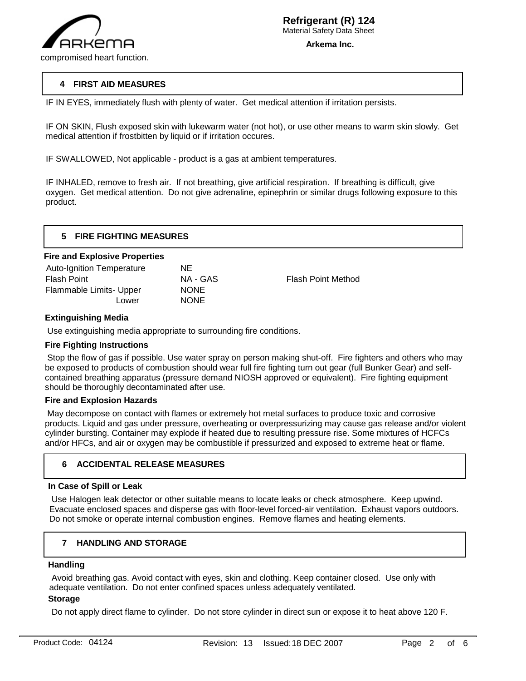

## **4 FIRST AID MEASURES**

IF IN EYES, immediately flush with plenty of water. Get medical attention if irritation persists.

IF ON SKIN, Flush exposed skin with lukewarm water (not hot), or use other means to warm skin slowly. Get medical attention if frostbitten by liquid or if irritation occures.

IF SWALLOWED, Not applicable - product is a gas at ambient temperatures.

IF INHALED, remove to fresh air. If not breathing, give artificial respiration. If breathing is difficult, give oxygen. Get medical attention. Do not give adrenaline, epinephrin or similar drugs following exposure to this product.

| <b>FIRE FIGHTING MEASURES</b> |
|-------------------------------|
|                               |

#### **Fire and Explosive Properties**

| <b>Auto-Ignition Temperature</b> | NE          |
|----------------------------------|-------------|
| Flash Point                      | NA - GAS    |
| Flammable Limits- Upper          | <b>NONE</b> |
| Lower                            | <b>NONE</b> |
|                                  |             |

Flash Point Method

## **Extinguishing Media**

Use extinguishing media appropriate to surrounding fire conditions.

## **Fire Fighting Instructions**

 Stop the flow of gas if possible. Use water spray on person making shut-off. Fire fighters and others who may be exposed to products of combustion should wear full fire fighting turn out gear (full Bunker Gear) and selfcontained breathing apparatus (pressure demand NIOSH approved or equivalent). Fire fighting equipment should be thoroughly decontaminated after use.

### **Fire and Explosion Hazards**

 May decompose on contact with flames or extremely hot metal surfaces to produce toxic and corrosive products. Liquid and gas under pressure, overheating or overpressurizing may cause gas release and/or violent cylinder bursting. Container may explode if heated due to resulting pressure rise. Some mixtures of HCFCs and/or HFCs, and air or oxygen may be combustible if pressurized and exposed to extreme heat or flame.

## **6 ACCIDENTAL RELEASE MEASURES**

### **In Case of Spill or Leak**

 Use Halogen leak detector or other suitable means to locate leaks or check atmosphere. Keep upwind. Evacuate enclosed spaces and disperse gas with floor-level forced-air ventilation. Exhaust vapors outdoors. Do not smoke or operate internal combustion engines. Remove flames and heating elements.

#### **7 HANDLING AND STORAGE**

#### **Handling**

j

 Avoid breathing gas. Avoid contact with eyes, skin and clothing. Keep container closed. Use only with adequate ventilation. Do not enter confined spaces unless adequately ventilated.

#### **Storage**

Do not apply direct flame to cylinder. Do not store cylinder in direct sun or expose it to heat above 120 F.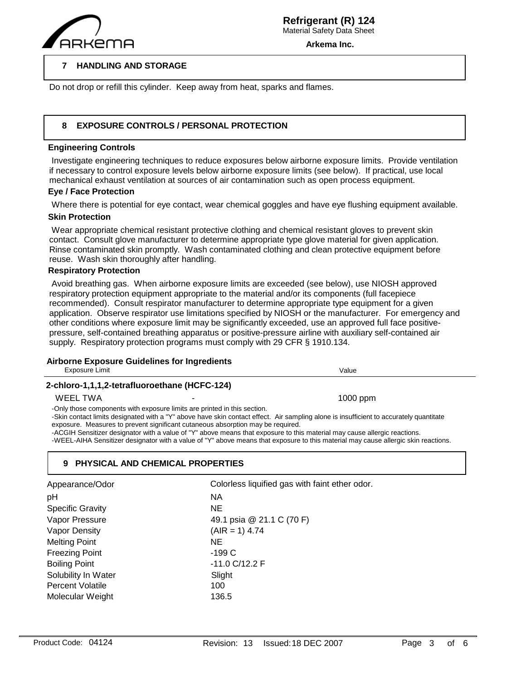

**Arkema Inc.**

#### **7 HANDLING AND STORAGE**

Do not drop or refill this cylinder. Keep away from heat, sparks and flames.

#### **8 EXPOSURE CONTROLS / PERSONAL PROTECTION**

### **Engineering Controls**

 $\overline{a}$ 

 Investigate engineering techniques to reduce exposures below airborne exposure limits. Provide ventilation if necessary to control exposure levels below airborne exposure limits (see below). If practical, use local mechanical exhaust ventilation at sources of air contamination such as open process equipment.

## **Eye / Face Protection**

Where there is potential for eye contact, wear chemical goggles and have eye flushing equipment available.

### **Skin Protection**

 Wear appropriate chemical resistant protective clothing and chemical resistant gloves to prevent skin contact. Consult glove manufacturer to determine appropriate type glove material for given application. Rinse contaminated skin promptly. Wash contaminated clothing and clean protective equipment before reuse. Wash skin thoroughly after handling.

### **Respiratory Protection**

 Avoid breathing gas. When airborne exposure limits are exceeded (see below), use NIOSH approved respiratory protection equipment appropriate to the material and/or its components (full facepiece recommended). Consult respirator manufacturer to determine appropriate type equipment for a given application. Observe respirator use limitations specified by NIOSH or the manufacturer. For emergency and other conditions where exposure limit may be significantly exceeded, use an approved full face positivepressure, self-contained breathing apparatus or positive-pressure airline with auxiliary self-contained air supply. Respiratory protection programs must comply with 29 CFR § 1910.134.

## **Airborne Exposure Guidelines for Ingredients**

| <b>Exposure Limit</b>                         |                                                                                                                                                             | Value                                                                                                                                                                                                                                                                                                                                                                                                     |
|-----------------------------------------------|-------------------------------------------------------------------------------------------------------------------------------------------------------------|-----------------------------------------------------------------------------------------------------------------------------------------------------------------------------------------------------------------------------------------------------------------------------------------------------------------------------------------------------------------------------------------------------------|
| 2-chloro-1,1,1,2-tetrafluoroethane (HCFC-124) |                                                                                                                                                             |                                                                                                                                                                                                                                                                                                                                                                                                           |
| <b>WEEL TWA</b>                               |                                                                                                                                                             | $1000$ ppm                                                                                                                                                                                                                                                                                                                                                                                                |
|                                               | -Only those components with exposure limits are printed in this section.<br>exposure. Measures to prevent significant cutaneous absorption may be required. | -Skin contact limits designated with a "Y" above have skin contact effect. Air sampling alone is insufficient to accurately quantitate<br>-ACGIH Sensitizer designator with a value of "Y" above means that exposure to this material may cause allergic reactions.<br>-WEEL-AIHA Sensitizer designator with a value of "Y" above means that exposure to this material may cause allergic skin reactions. |
|                                               | 9 PHYSICAL AND CHEMICAL PROPERTIES                                                                                                                          |                                                                                                                                                                                                                                                                                                                                                                                                           |
|                                               |                                                                                                                                                             | Charles and the contract of the contract of the second second second second second second second second second second second second second second second second second second second second second second second second second                                                                                                                                                                            |

| Colorless liquified gas with faint ether odor. |
|------------------------------------------------|
| ΝA                                             |
| NE                                             |
| 49.1 psia @ 21.1 C (70 F)                      |
| $(AIR = 1) 4.74$                               |
| NE                                             |
| $-199C$                                        |
| $-11.0$ C/12.2 F                               |
| Slight                                         |
| 100                                            |
| 136.5                                          |
|                                                |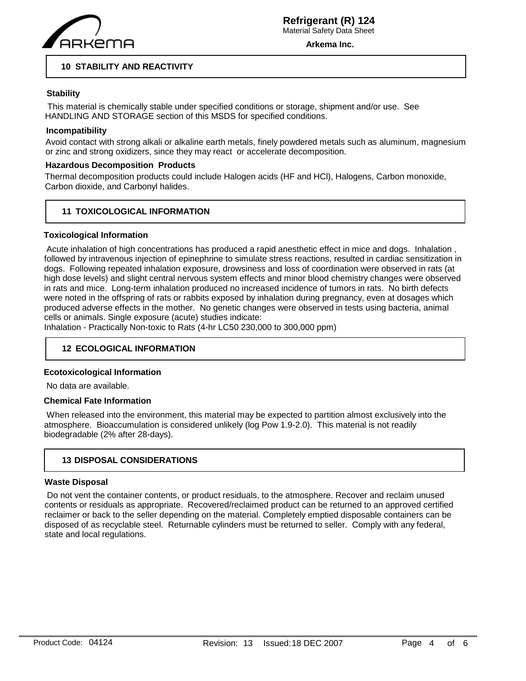

**Arkema Inc.**

## **10 STABILITY AND REACTIVITY**

## **Stability**

 This material is chemically stable under specified conditions or storage, shipment and/or use. See HANDLING AND STORAGE section of this MSDS for specified conditions.

## **Incompatibility**

Avoid contact with strong alkali or alkaline earth metals, finely powdered metals such as aluminum, magnesium or zinc and strong oxidizers, since they may react or accelerate decomposition.

## **Hazardous Decomposition Products**

Thermal decomposition products could include Halogen acids (HF and HCl), Halogens, Carbon monoxide, Carbon dioxide, and Carbonyl halides.

## **11 TOXICOLOGICAL INFORMATION**

### **Toxicological Information**

 Acute inhalation of high concentrations has produced a rapid anesthetic effect in mice and dogs. Inhalation , followed by intravenous injection of epinephrine to simulate stress reactions, resulted in cardiac sensitization in dogs. Following repeated inhalation exposure, drowsiness and loss of coordination were observed in rats (at high dose levels) and slight central nervous system effects and minor blood chemistry changes were observed in rats and mice. Long-term inhalation produced no increased incidence of tumors in rats. No birth defects were noted in the offspring of rats or rabbits exposed by inhalation during pregnancy, even at dosages which produced adverse effects in the mother. No genetic changes were observed in tests using bacteria, animal cells or animals. Single exposure (acute) studies indicate:

Inhalation - Practically Non-toxic to Rats (4-hr LC50 230,000 to 300,000 ppm)

## **12 ECOLOGICAL INFORMATION**

#### **Ecotoxicological Information**

No data are available.

#### **Chemical Fate Information**

 When released into the environment, this material may be expected to partition almost exclusively into the atmosphere. Bioaccumulation is considered unlikely (log Pow 1.9-2.0). This material is not readily biodegradable (2% after 28-days).

## **13 DISPOSAL CONSIDERATIONS**

#### **Waste Disposal**

 Do not vent the container contents, or product residuals, to the atmosphere. Recover and reclaim unused contents or residuals as appropriate. Recovered/reclaimed product can be returned to an approved certified reclaimer or back to the seller depending on the material. Completely emptied disposable containers can be disposed of as recyclable steel. Returnable cylinders must be returned to seller. Comply with any federal, state and local regulations.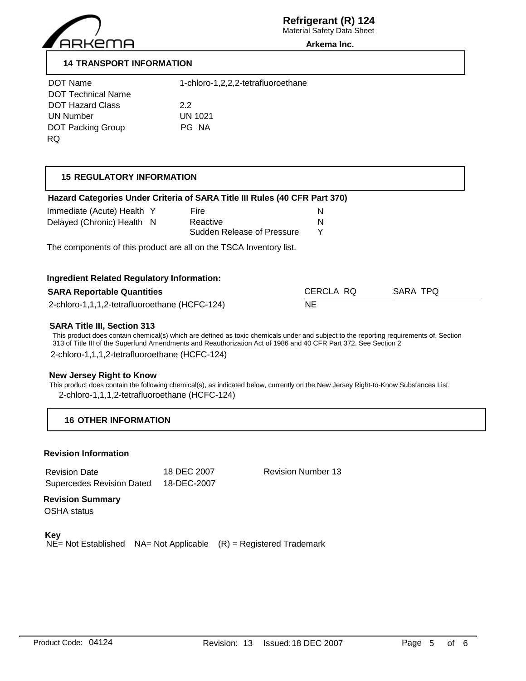

**Arkema Inc.**

## **14 TRANSPORT INFORMATION**

| 1-chloro-1,2,2,2-tetrafluoroethane |
|------------------------------------|
| 2.2                                |
| <b>UN 1021</b>                     |
| PG NA                              |
|                                    |

# **15 REGULATORY INFORMATION**

| Hazard Categories Under Criteria of SARA Title III Rules (40 CFR Part 370)             |                            |           |                                                                                                                                        |
|----------------------------------------------------------------------------------------|----------------------------|-----------|----------------------------------------------------------------------------------------------------------------------------------------|
| Immediate (Acute) Health Y                                                             | Fire                       | N         |                                                                                                                                        |
| Delayed (Chronic) Health N                                                             | Reactive                   | N         |                                                                                                                                        |
|                                                                                        | Sudden Release of Pressure | Y         |                                                                                                                                        |
| The components of this product are all on the TSCA Inventory list.                     |                            |           |                                                                                                                                        |
| <b>Ingredient Related Regulatory Information:</b><br><b>SARA Reportable Quantities</b> |                            | CERCLA RQ | SARA TPQ                                                                                                                               |
| 2-chloro-1,1,1,2-tetrafluoroethane (HCFC-124)                                          |                            | NE        |                                                                                                                                        |
| <b>SARA Title III, Section 313</b>                                                     |                            |           | This product does contain chemical(s) which are defined as toxic chemicals under and subject to the reporting requirements of, Section |

## **New Jersey Right to Know**

This product does contain the following chemical(s), as indicated below, currently on the New Jersey Right-to-Know Substances List. 2-chloro-1,1,1,2-tetrafluoroethane (HCFC-124)

## **16 OTHER INFORMATION**

## **Revision Information**

| <b>Revision Date</b>             | 18 DEC 2007 |
|----------------------------------|-------------|
| <b>Supercedes Revision Dated</b> | 18-DEC-2007 |

Revision Number 13

## **Revision Summary**

OSHA status

**Key**

 $NE$ = Not Established  $NA$ = Not Applicable  $(R)$  = Registered Trademark